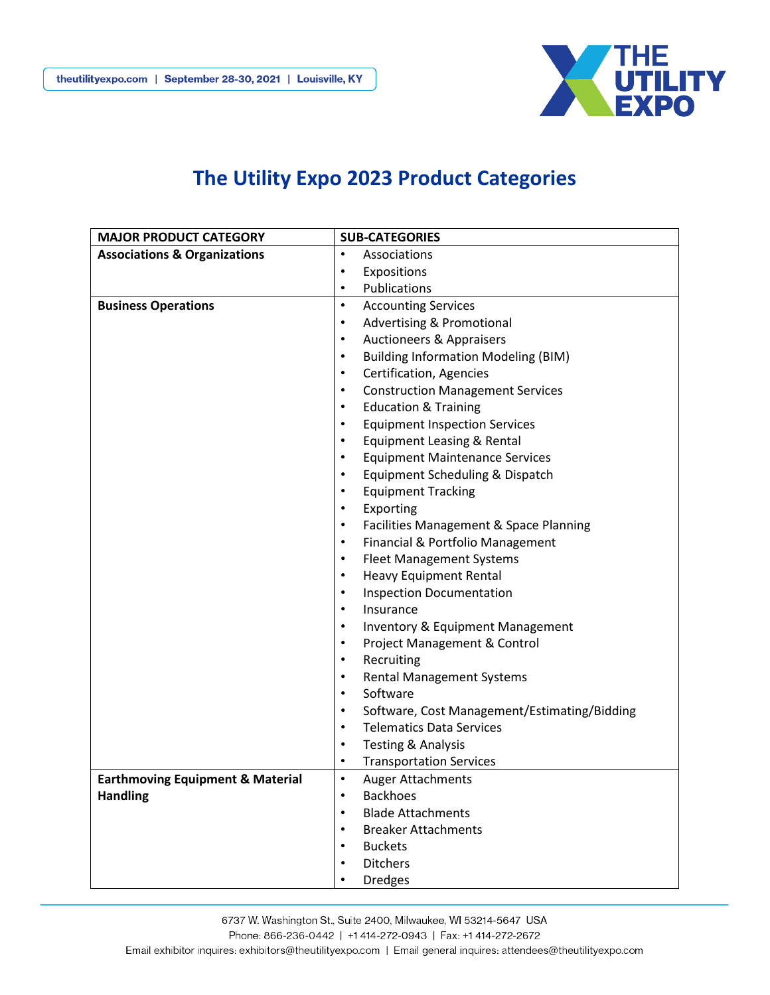

## **The Utility Expo 2023 Product Categories**

| <b>MAJOR PRODUCT CATEGORY</b>               | <b>SUB-CATEGORIES</b>                                     |
|---------------------------------------------|-----------------------------------------------------------|
| <b>Associations &amp; Organizations</b>     | Associations<br>$\bullet$                                 |
|                                             | Expositions<br>٠                                          |
|                                             | Publications<br>٠                                         |
| <b>Business Operations</b>                  | <b>Accounting Services</b><br>$\bullet$                   |
|                                             | <b>Advertising &amp; Promotional</b><br>$\bullet$         |
|                                             | <b>Auctioneers &amp; Appraisers</b><br>$\bullet$          |
|                                             | <b>Building Information Modeling (BIM)</b><br>٠           |
|                                             | Certification, Agencies<br>$\bullet$                      |
|                                             | <b>Construction Management Services</b><br>٠              |
|                                             | <b>Education &amp; Training</b><br>$\bullet$              |
|                                             | <b>Equipment Inspection Services</b><br>٠                 |
|                                             | <b>Equipment Leasing &amp; Rental</b><br>$\bullet$        |
|                                             | <b>Equipment Maintenance Services</b><br>$\bullet$        |
|                                             | Equipment Scheduling & Dispatch<br>$\bullet$              |
|                                             | <b>Equipment Tracking</b><br>$\bullet$                    |
|                                             | Exporting<br>$\bullet$                                    |
|                                             | Facilities Management & Space Planning<br>$\bullet$       |
|                                             | Financial & Portfolio Management<br>$\bullet$             |
|                                             | <b>Fleet Management Systems</b><br>$\bullet$              |
|                                             | <b>Heavy Equipment Rental</b><br>$\bullet$                |
|                                             | <b>Inspection Documentation</b><br>$\bullet$              |
|                                             | Insurance<br>$\bullet$                                    |
|                                             | <b>Inventory &amp; Equipment Management</b><br>$\bullet$  |
|                                             | Project Management & Control<br>$\bullet$                 |
|                                             | Recruiting<br>$\bullet$                                   |
|                                             | <b>Rental Management Systems</b><br>$\bullet$             |
|                                             | Software<br>$\bullet$                                     |
|                                             | Software, Cost Management/Estimating/Bidding<br>$\bullet$ |
|                                             | <b>Telematics Data Services</b><br>$\bullet$              |
|                                             | <b>Testing &amp; Analysis</b><br>$\bullet$                |
|                                             | <b>Transportation Services</b><br>٠                       |
| <b>Earthmoving Equipment &amp; Material</b> | Auger Attachments<br>$\bullet$                            |
| <b>Handling</b>                             | <b>Backhoes</b>                                           |
|                                             | <b>Blade Attachments</b>                                  |
|                                             | <b>Breaker Attachments</b>                                |
|                                             | <b>Buckets</b>                                            |
|                                             | <b>Ditchers</b>                                           |
|                                             | <b>Dredges</b>                                            |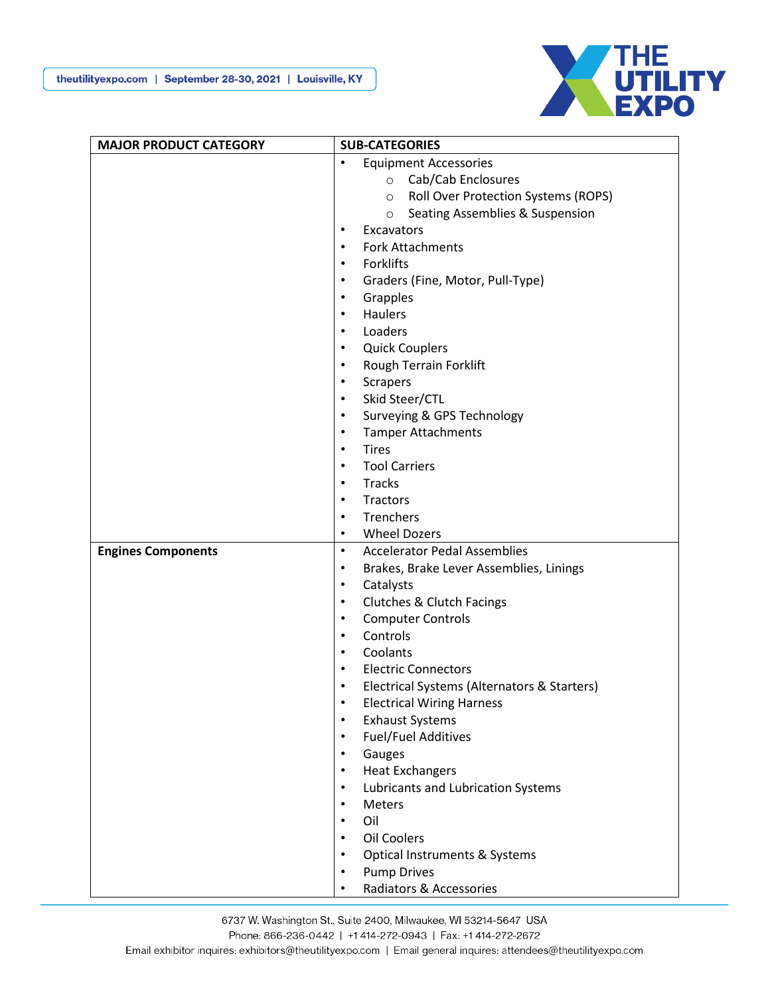

| <b>MAJOR PRODUCT CATEGORY</b> | <b>SUB-CATEGORIES</b>                                    |
|-------------------------------|----------------------------------------------------------|
|                               | <b>Equipment Accessories</b><br>$\bullet$                |
|                               | Cab/Cab Enclosures<br>$\circ$                            |
|                               | <b>Roll Over Protection Systems (ROPS)</b><br>$\circ$    |
|                               | Seating Assemblies & Suspension<br>$\circ$               |
|                               | Excavators<br>$\bullet$                                  |
|                               | <b>Fork Attachments</b><br>$\bullet$                     |
|                               | Forklifts<br>$\bullet$                                   |
|                               | Graders (Fine, Motor, Pull-Type)<br>$\bullet$            |
|                               | Grapples<br>$\bullet$                                    |
|                               | <b>Haulers</b><br>$\bullet$                              |
|                               | Loaders<br>$\bullet$                                     |
|                               | <b>Quick Couplers</b><br>$\bullet$                       |
|                               | Rough Terrain Forklift<br>$\bullet$                      |
|                               | Scrapers<br>$\bullet$                                    |
|                               | Skid Steer/CTL<br>$\bullet$                              |
|                               | Surveying & GPS Technology<br>$\bullet$                  |
|                               | <b>Tamper Attachments</b><br>$\bullet$                   |
|                               | <b>Tires</b><br>$\bullet$                                |
|                               | <b>Tool Carriers</b><br>$\bullet$                        |
|                               | Tracks<br>$\bullet$                                      |
|                               | Tractors<br>$\bullet$                                    |
|                               | Trenchers<br>$\bullet$                                   |
|                               | <b>Wheel Dozers</b><br>$\bullet$                         |
| <b>Engines Components</b>     | <b>Accelerator Pedal Assemblies</b><br>$\bullet$         |
|                               | Brakes, Brake Lever Assemblies, Linings<br>$\bullet$     |
|                               | Catalysts<br>$\bullet$                                   |
|                               | Clutches & Clutch Facings<br>$\bullet$                   |
|                               | <b>Computer Controls</b><br>$\bullet$                    |
|                               | Controls<br>$\bullet$                                    |
|                               | Coolants<br>$\bullet$                                    |
|                               | <b>Electric Connectors</b><br>$\bullet$                  |
|                               | Electrical Systems (Alternators & Starters)<br>$\bullet$ |
|                               | <b>Electrical Wiring Harness</b>                         |
|                               | <b>Exhaust Systems</b><br>$\bullet$                      |
|                               | <b>Fuel/Fuel Additives</b><br>$\bullet$                  |
|                               | Gauges<br>$\bullet$                                      |
|                               | <b>Heat Exchangers</b><br>$\bullet$                      |
|                               | Lubricants and Lubrication Systems<br>$\bullet$          |
|                               | <b>Meters</b><br>$\bullet$                               |
|                               | Oil<br>$\bullet$                                         |
|                               | Oil Coolers<br>$\bullet$                                 |
|                               | Optical Instruments & Systems<br>$\bullet$               |
|                               | <b>Pump Drives</b><br>$\bullet$                          |
|                               | Radiators & Accessories                                  |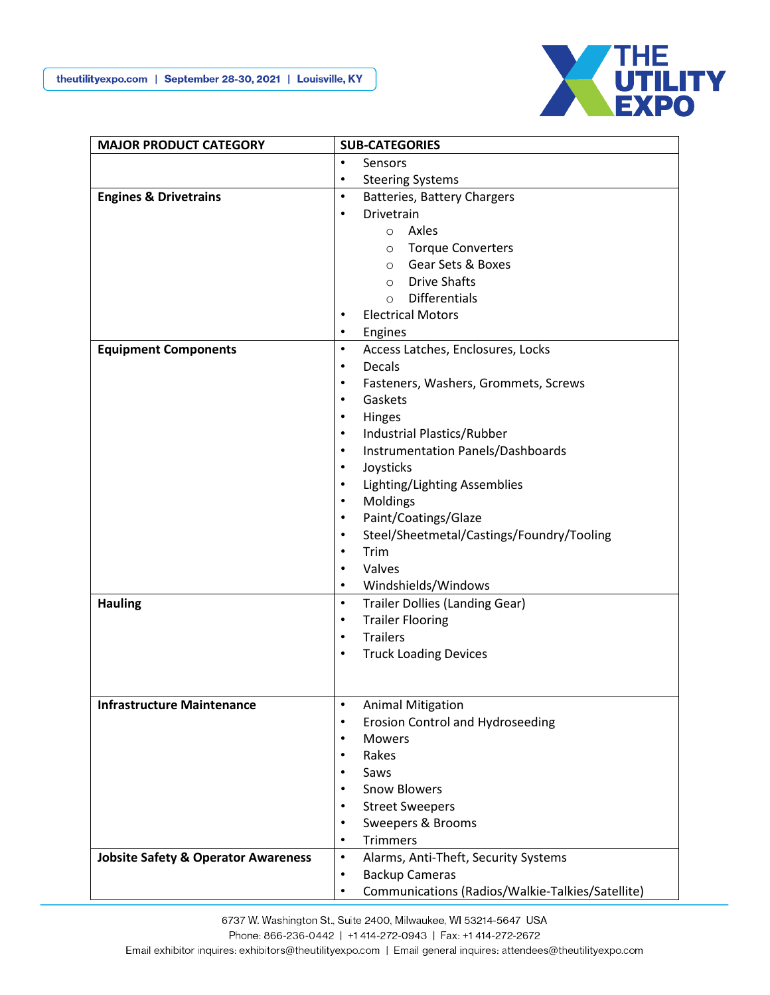

| <b>MAJOR PRODUCT CATEGORY</b>                  | <b>SUB-CATEGORIES</b>                                         |
|------------------------------------------------|---------------------------------------------------------------|
|                                                | Sensors<br>$\bullet$                                          |
|                                                | <b>Steering Systems</b><br>$\bullet$                          |
| <b>Engines &amp; Drivetrains</b>               | $\bullet$<br>Batteries, Battery Chargers                      |
|                                                | Drivetrain<br>$\bullet$                                       |
|                                                | Axles<br>$\circ$                                              |
|                                                | o Torque Converters                                           |
|                                                | ○ Gear Sets & Boxes                                           |
|                                                | <b>Drive Shafts</b><br>$\circ$                                |
|                                                | <b>Differentials</b><br>$\circ$                               |
|                                                | <b>Electrical Motors</b><br>$\bullet$                         |
|                                                | Engines<br>$\bullet$                                          |
| <b>Equipment Components</b>                    | Access Latches, Enclosures, Locks<br>$\bullet$                |
|                                                | <b>Decals</b><br>$\bullet$                                    |
|                                                | Fasteners, Washers, Grommets, Screws<br>$\bullet$             |
|                                                | Gaskets<br>$\bullet$                                          |
|                                                | Hinges<br>$\bullet$                                           |
|                                                | <b>Industrial Plastics/Rubber</b><br>$\bullet$                |
|                                                | Instrumentation Panels/Dashboards<br>$\bullet$                |
|                                                | Joysticks<br>$\bullet$                                        |
|                                                | Lighting/Lighting Assemblies<br>$\bullet$                     |
|                                                | $\bullet$                                                     |
|                                                | Moldings<br>$\bullet$                                         |
|                                                | Paint/Coatings/Glaze                                          |
|                                                | Steel/Sheetmetal/Castings/Foundry/Tooling<br>$\bullet$        |
|                                                | Trim<br>$\bullet$                                             |
|                                                | Valves<br>$\bullet$                                           |
|                                                | Windshields/Windows<br>$\bullet$                              |
| <b>Hauling</b>                                 | <b>Trailer Dollies (Landing Gear)</b><br>$\bullet$            |
|                                                | <b>Trailer Flooring</b><br>$\bullet$                          |
|                                                | <b>Trailers</b><br>$\bullet$                                  |
|                                                | <b>Truck Loading Devices</b><br>$\bullet$                     |
|                                                |                                                               |
|                                                |                                                               |
| <b>Infrastructure Maintenance</b>              | $\bullet$<br><b>Animal Mitigation</b>                         |
|                                                | <b>Erosion Control and Hydroseeding</b><br>$\bullet$          |
|                                                | <b>Mowers</b><br>$\bullet$                                    |
|                                                | Rakes<br>$\bullet$                                            |
|                                                | Saws<br>$\bullet$                                             |
|                                                | <b>Snow Blowers</b><br>$\bullet$                              |
|                                                | <b>Street Sweepers</b><br>$\bullet$                           |
|                                                | Sweepers & Brooms<br>$\bullet$                                |
|                                                | <b>Trimmers</b><br>$\bullet$                                  |
| <b>Jobsite Safety &amp; Operator Awareness</b> | Alarms, Anti-Theft, Security Systems<br>$\bullet$             |
|                                                | <b>Backup Cameras</b><br>$\bullet$                            |
|                                                | Communications (Radios/Walkie-Talkies/Satellite)<br>$\bullet$ |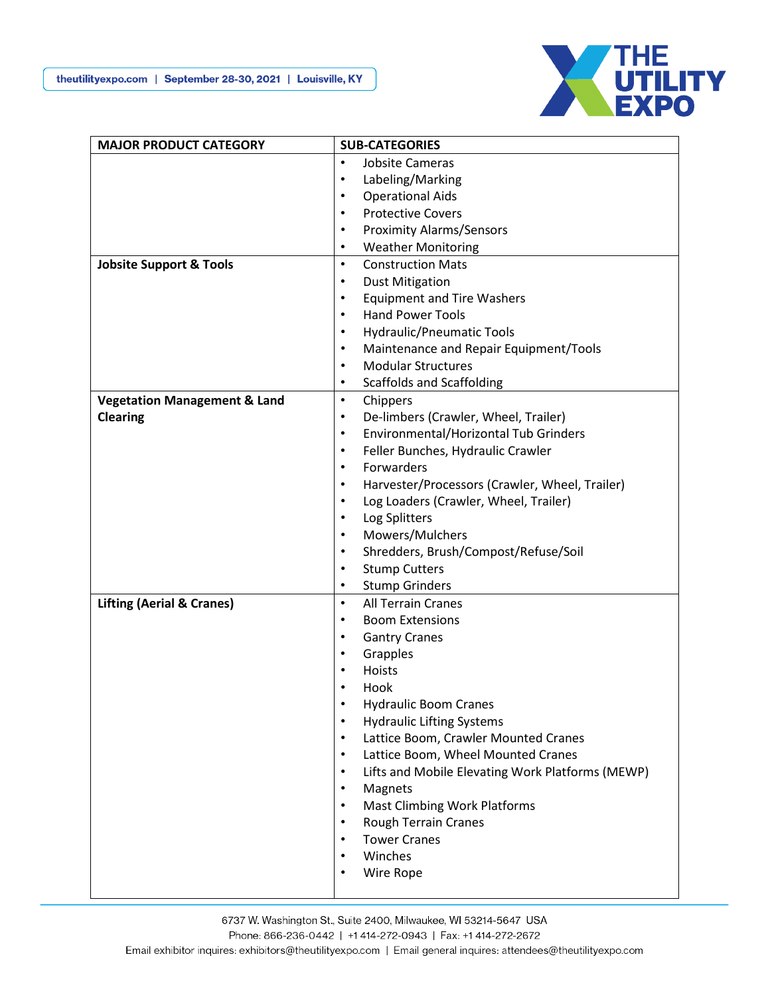

| <b>MAJOR PRODUCT CATEGORY</b>           | <b>SUB-CATEGORIES</b>                                         |
|-----------------------------------------|---------------------------------------------------------------|
|                                         | <b>Jobsite Cameras</b><br>$\bullet$                           |
|                                         | Labeling/Marking<br>$\bullet$                                 |
|                                         | <b>Operational Aids</b><br>$\bullet$                          |
|                                         | <b>Protective Covers</b><br>$\bullet$                         |
|                                         | <b>Proximity Alarms/Sensors</b><br>$\bullet$                  |
|                                         | <b>Weather Monitoring</b><br>$\bullet$                        |
| <b>Jobsite Support &amp; Tools</b>      | <b>Construction Mats</b><br>$\bullet$                         |
|                                         | <b>Dust Mitigation</b><br>$\bullet$                           |
|                                         | <b>Equipment and Tire Washers</b><br>$\bullet$                |
|                                         | <b>Hand Power Tools</b><br>$\bullet$                          |
|                                         | Hydraulic/Pneumatic Tools<br>$\bullet$                        |
|                                         | Maintenance and Repair Equipment/Tools<br>$\bullet$           |
|                                         | <b>Modular Structures</b><br>$\bullet$                        |
|                                         | <b>Scaffolds and Scaffolding</b><br>$\bullet$                 |
| <b>Vegetation Management &amp; Land</b> | $\bullet$<br>Chippers                                         |
| <b>Clearing</b>                         | De-limbers (Crawler, Wheel, Trailer)<br>$\bullet$             |
|                                         | Environmental/Horizontal Tub Grinders<br>$\bullet$            |
|                                         | Feller Bunches, Hydraulic Crawler<br>$\bullet$                |
|                                         | Forwarders<br>$\bullet$                                       |
|                                         | Harvester/Processors (Crawler, Wheel, Trailer)<br>$\bullet$   |
|                                         | Log Loaders (Crawler, Wheel, Trailer)<br>$\bullet$            |
|                                         | Log Splitters<br>$\bullet$                                    |
|                                         | Mowers/Mulchers<br>$\bullet$                                  |
|                                         | Shredders, Brush/Compost/Refuse/Soil<br>$\bullet$             |
|                                         | <b>Stump Cutters</b><br>$\bullet$                             |
|                                         | <b>Stump Grinders</b><br>$\bullet$                            |
| <b>Lifting (Aerial &amp; Cranes)</b>    | $\bullet$<br><b>All Terrain Cranes</b>                        |
|                                         | <b>Boom Extensions</b><br>$\bullet$                           |
|                                         | <b>Gantry Cranes</b><br>$\bullet$                             |
|                                         | Grapples<br>$\bullet$                                         |
|                                         | Hoists<br>$\bullet$                                           |
|                                         | Hook                                                          |
|                                         | $\bullet$<br><b>Hydraulic Boom Cranes</b>                     |
|                                         | <b>Hydraulic Lifting Systems</b><br>$\bullet$                 |
|                                         | Lattice Boom, Crawler Mounted Cranes<br>$\bullet$             |
|                                         | Lattice Boom, Wheel Mounted Cranes<br>$\bullet$               |
|                                         | Lifts and Mobile Elevating Work Platforms (MEWP)<br>$\bullet$ |
|                                         | Magnets<br>$\bullet$                                          |
|                                         | <b>Mast Climbing Work Platforms</b><br>$\bullet$              |
|                                         | Rough Terrain Cranes<br>$\bullet$                             |
|                                         | <b>Tower Cranes</b><br>$\bullet$                              |
|                                         | Winches<br>$\bullet$                                          |
|                                         | Wire Rope<br>$\bullet$                                        |
|                                         |                                                               |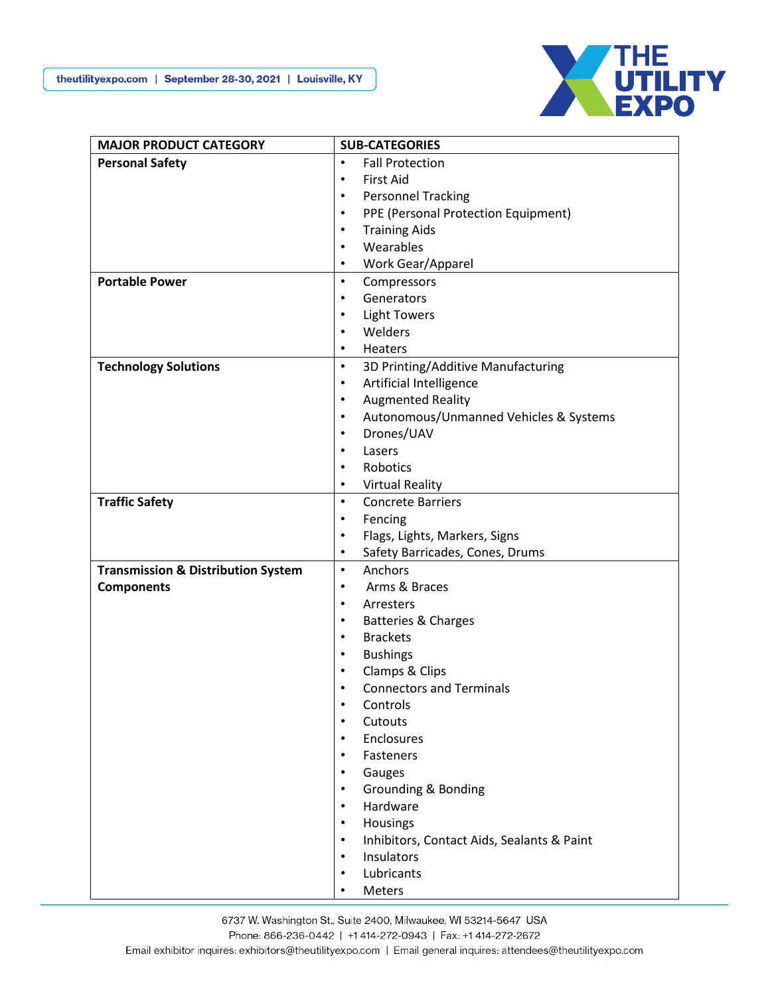

| <b>MAJOR PRODUCT CATEGORY</b>                 | <b>SUB-CATEGORIES</b>                                   |
|-----------------------------------------------|---------------------------------------------------------|
| <b>Personal Safety</b>                        | <b>Fall Protection</b><br>$\bullet$                     |
|                                               | <b>First Aid</b><br>$\bullet$                           |
|                                               | <b>Personnel Tracking</b><br>$\bullet$                  |
|                                               | PPE (Personal Protection Equipment)<br>$\bullet$        |
|                                               | <b>Training Aids</b><br>$\bullet$                       |
|                                               | Wearables<br>$\bullet$                                  |
|                                               | Work Gear/Apparel<br>$\bullet$                          |
| <b>Portable Power</b>                         | Compressors<br>$\bullet$                                |
|                                               | Generators<br>$\bullet$                                 |
|                                               | <b>Light Towers</b><br>$\bullet$                        |
|                                               | Welders<br>$\bullet$                                    |
|                                               | Heaters<br>$\bullet$                                    |
| <b>Technology Solutions</b>                   | 3D Printing/Additive Manufacturing<br>$\bullet$         |
|                                               | Artificial Intelligence<br>$\bullet$                    |
|                                               | <b>Augmented Reality</b><br>$\bullet$                   |
|                                               | Autonomous/Unmanned Vehicles & Systems<br>$\bullet$     |
|                                               | Drones/UAV<br>$\bullet$                                 |
|                                               | Lasers<br>$\bullet$                                     |
|                                               | Robotics<br>$\bullet$                                   |
|                                               | <b>Virtual Reality</b><br>$\bullet$                     |
| <b>Traffic Safety</b>                         | <b>Concrete Barriers</b><br>$\bullet$                   |
|                                               | Fencing<br>$\bullet$                                    |
|                                               | Flags, Lights, Markers, Signs<br>$\bullet$              |
|                                               | Safety Barricades, Cones, Drums<br>$\bullet$            |
| <b>Transmission &amp; Distribution System</b> | Anchors<br>$\bullet$                                    |
| <b>Components</b>                             | Arms & Braces<br>$\bullet$<br>$\bullet$                 |
|                                               | Arresters<br>$\bullet$                                  |
|                                               | Batteries & Charges<br><b>Brackets</b><br>$\bullet$     |
|                                               | <b>Bushings</b><br>$\bullet$                            |
|                                               | Clamps & Clips<br>$\bullet$                             |
|                                               | <b>Connectors and Terminals</b><br>$\bullet$            |
|                                               | Controls<br>$\bullet$                                   |
|                                               | Cutouts<br>$\bullet$                                    |
|                                               | Enclosures<br>$\bullet$                                 |
|                                               | Fasteners<br>$\bullet$                                  |
|                                               | Gauges<br>$\bullet$                                     |
|                                               | <b>Grounding &amp; Bonding</b><br>$\bullet$             |
|                                               | Hardware<br>$\bullet$                                   |
|                                               | Housings<br>$\bullet$                                   |
|                                               | Inhibitors, Contact Aids, Sealants & Paint<br>$\bullet$ |
|                                               | Insulators<br>$\bullet$                                 |
|                                               | Lubricants<br>$\bullet$                                 |
|                                               | Meters                                                  |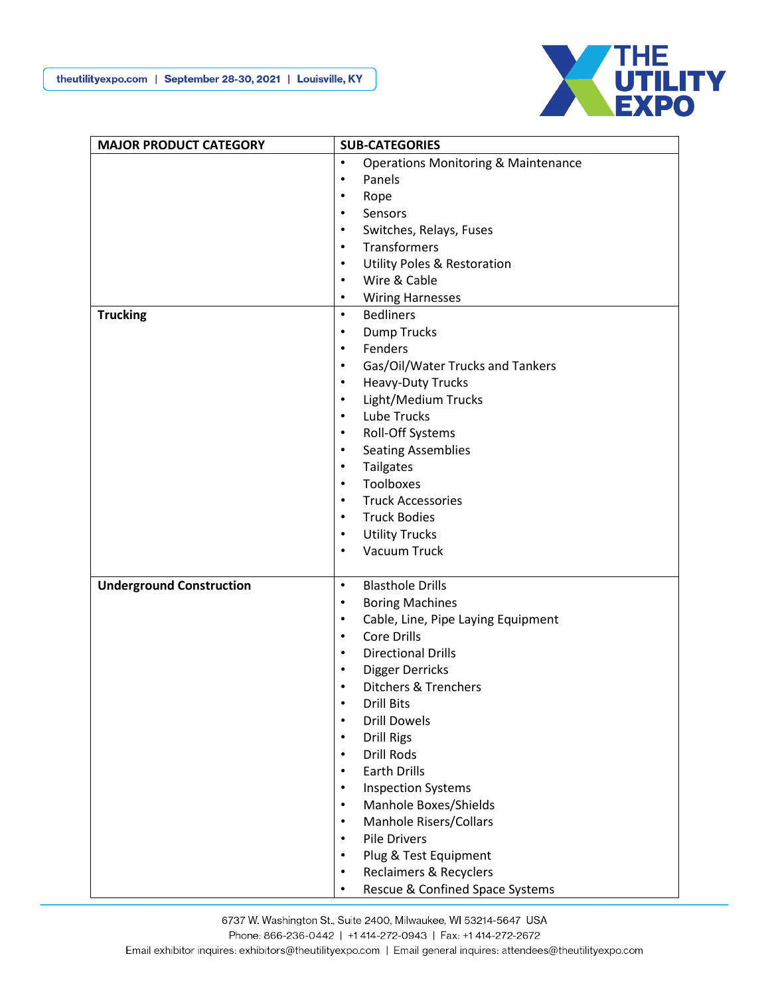

| <b>MAJOR PRODUCT CATEGORY</b>   | <b>SUB-CATEGORIES</b>                                       |
|---------------------------------|-------------------------------------------------------------|
|                                 | <b>Operations Monitoring &amp; Maintenance</b><br>$\bullet$ |
|                                 | Panels<br>$\bullet$                                         |
|                                 | Rope<br>$\bullet$                                           |
|                                 | Sensors<br>$\bullet$                                        |
|                                 | Switches, Relays, Fuses<br>$\bullet$                        |
|                                 | Transformers<br>$\bullet$                                   |
|                                 | <b>Utility Poles &amp; Restoration</b><br>$\bullet$         |
|                                 | Wire & Cable<br>$\bullet$                                   |
|                                 | <b>Wiring Harnesses</b><br>$\bullet$                        |
| <b>Trucking</b>                 | <b>Bedliners</b><br>$\bullet$                               |
|                                 | <b>Dump Trucks</b><br>$\bullet$                             |
|                                 | Fenders<br>$\bullet$                                        |
|                                 | Gas/Oil/Water Trucks and Tankers<br>$\bullet$               |
|                                 | Heavy-Duty Trucks<br>$\bullet$                              |
|                                 | Light/Medium Trucks<br>$\bullet$                            |
|                                 | Lube Trucks<br>$\bullet$                                    |
|                                 | Roll-Off Systems<br>$\bullet$                               |
|                                 | <b>Seating Assemblies</b><br>$\bullet$                      |
|                                 | Tailgates<br>$\bullet$                                      |
|                                 | Toolboxes<br>$\bullet$                                      |
|                                 | <b>Truck Accessories</b><br>$\bullet$                       |
|                                 | <b>Truck Bodies</b><br>$\bullet$                            |
|                                 | <b>Utility Trucks</b><br>$\bullet$                          |
|                                 | Vacuum Truck<br>$\bullet$                                   |
|                                 |                                                             |
| <b>Underground Construction</b> | <b>Blasthole Drills</b><br>$\bullet$                        |
|                                 | <b>Boring Machines</b><br>$\bullet$                         |
|                                 | Cable, Line, Pipe Laying Equipment<br>$\bullet$             |
|                                 | <b>Core Drills</b><br>$\bullet$                             |
|                                 | <b>Directional Drills</b><br>$\bullet$                      |
|                                 | Digger Derricks<br>$\bullet$                                |
|                                 | <b>Ditchers &amp; Trenchers</b><br>$\bullet$                |
|                                 | $\bullet$<br><b>Drill Bits</b>                              |
|                                 | <b>Drill Dowels</b><br>$\bullet$                            |
|                                 | <b>Drill Rigs</b><br>$\bullet$                              |
|                                 | Drill Rods<br>$\bullet$                                     |
|                                 | <b>Earth Drills</b><br>$\bullet$                            |
|                                 | <b>Inspection Systems</b><br>$\bullet$                      |
|                                 | Manhole Boxes/Shields<br>$\bullet$                          |
|                                 | <b>Manhole Risers/Collars</b><br>$\bullet$                  |
|                                 | <b>Pile Drivers</b><br>$\bullet$                            |
|                                 | Plug & Test Equipment<br>$\bullet$                          |
|                                 | <b>Reclaimers &amp; Recyclers</b><br>$\bullet$              |
|                                 | Rescue & Confined Space Systems<br>$\bullet$                |